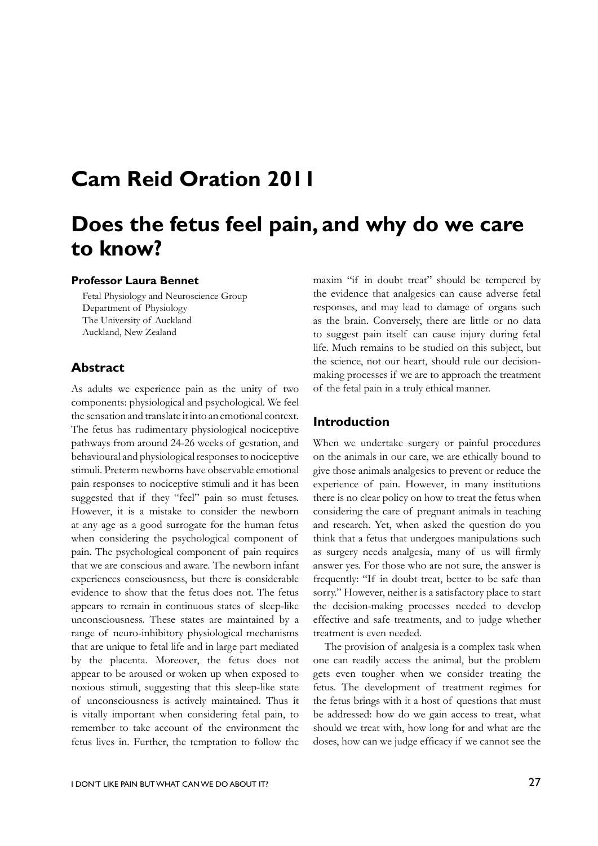# **Cam Reid Oration 2011**

# **Does the fetus feel pain, and why do we care to know?**

#### **Professor Laura Bennet**

Fetal Physiology and Neuroscience Group Department of Physiology The University of Auckland Auckland, New Zealand

### **Abstract**

As adults we experience pain as the unity of two components: physiological and psychological. We feel the sensation and translate it into an emotional context. The fetus has rudimentary physiological nociceptive pathways from around 24-26 weeks of gestation, and behavioural and physiological responses to nociceptive stimuli. Preterm newborns have observable emotional pain responses to nociceptive stimuli and it has been suggested that if they "feel" pain so must fetuses. However, it is a mistake to consider the newborn at any age as a good surrogate for the human fetus when considering the psychological component of pain. The psychological component of pain requires that we are conscious and aware. The newborn infant experiences consciousness, but there is considerable evidence to show that the fetus does not. The fetus appears to remain in continuous states of sleep-like unconsciousness. These states are maintained by a range of neuro-inhibitory physiological mechanisms that are unique to fetal life and in large part mediated by the placenta. Moreover, the fetus does not appear to be aroused or woken up when exposed to noxious stimuli, suggesting that this sleep-like state of unconsciousness is actively maintained. Thus it is vitally important when considering fetal pain, to remember to take account of the environment the fetus lives in. Further, the temptation to follow the

maxim "if in doubt treat" should be tempered by the evidence that analgesics can cause adverse fetal responses, and may lead to damage of organs such as the brain. Conversely, there are little or no data to suggest pain itself can cause injury during fetal life. Much remains to be studied on this subject, but the science, not our heart, should rule our decisionmaking processes if we are to approach the treatment of the fetal pain in a truly ethical manner.

#### **Introduction**

When we undertake surgery or painful procedures on the animals in our care, we are ethically bound to give those animals analgesics to prevent or reduce the experience of pain. However, in many institutions there is no clear policy on how to treat the fetus when considering the care of pregnant animals in teaching and research. Yet, when asked the question do you think that a fetus that undergoes manipulations such as surgery needs analgesia, many of us will firmly answer yes. For those who are not sure, the answer is frequently: "If in doubt treat, better to be safe than sorry." However, neither is a satisfactory place to start the decision-making processes needed to develop effective and safe treatments, and to judge whether treatment is even needed.

The provision of analgesia is a complex task when one can readily access the animal, but the problem gets even tougher when we consider treating the fetus. The development of treatment regimes for the fetus brings with it a host of questions that must be addressed: how do we gain access to treat, what should we treat with, how long for and what are the doses, how can we judge efficacy if we cannot see the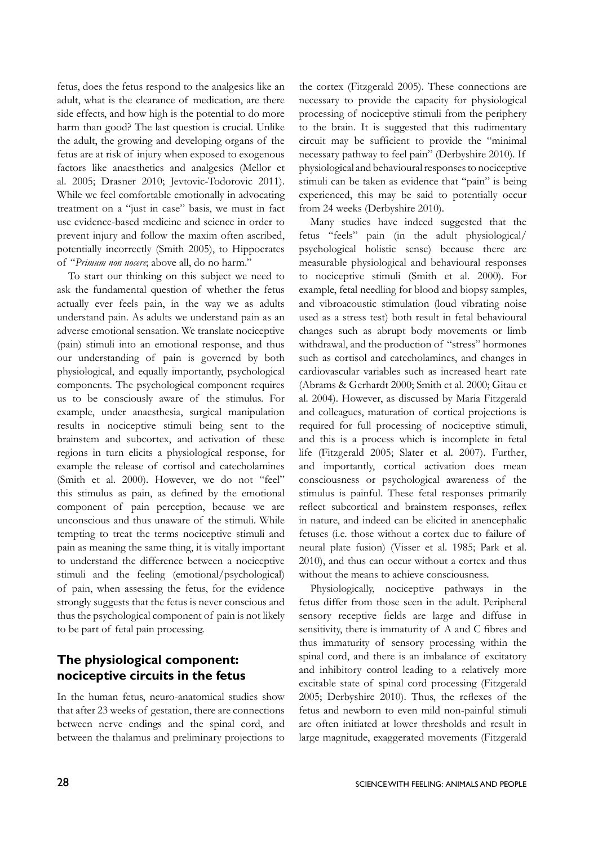fetus, does the fetus respond to the analgesics like an adult, what is the clearance of medication, are there side effects, and how high is the potential to do more harm than good? The last question is crucial. Unlike the adult, the growing and developing organs of the fetus are at risk of injury when exposed to exogenous factors like anaesthetics and analgesics (Mellor et al. 2005; Drasner 2010; Jevtovic-Todorovic 2011). While we feel comfortable emotionally in advocating treatment on a "just in case" basis, we must in fact use evidence-based medicine and science in order to prevent injury and follow the maxim often ascribed, potentially incorrectly (Smith 2005), to Hippocrates of "*Primum non nocere*; above all, do no harm."

To start our thinking on this subject we need to ask the fundamental question of whether the fetus actually ever feels pain, in the way we as adults understand pain. As adults we understand pain as an adverse emotional sensation. We translate nociceptive (pain) stimuli into an emotional response, and thus our understanding of pain is governed by both physiological, and equally importantly, psychological components. The psychological component requires us to be consciously aware of the stimulus. For example, under anaesthesia, surgical manipulation results in nociceptive stimuli being sent to the brainstem and subcortex, and activation of these regions in turn elicits a physiological response, for example the release of cortisol and catecholamines (Smith et al. 2000). However, we do not "feel" this stimulus as pain, as defined by the emotional component of pain perception, because we are unconscious and thus unaware of the stimuli. While tempting to treat the terms nociceptive stimuli and pain as meaning the same thing, it is vitally important to understand the difference between a nociceptive stimuli and the feeling (emotional/psychological) of pain, when assessing the fetus, for the evidence strongly suggests that the fetus is never conscious and thus the psychological component of pain is not likely to be part of fetal pain processing.

## **The physiological component: nociceptive circuits in the fetus**

In the human fetus, neuro-anatomical studies show that after 23 weeks of gestation, there are connections between nerve endings and the spinal cord, and between the thalamus and preliminary projections to the cortex (Fitzgerald 2005). These connections are necessary to provide the capacity for physiological processing of nociceptive stimuli from the periphery to the brain. It is suggested that this rudimentary circuit may be sufficient to provide the "minimal necessary pathway to feel pain" (Derbyshire 2010). If physiological and behavioural responses to nociceptive stimuli can be taken as evidence that "pain" is being experienced, this may be said to potentially occur from 24 weeks (Derbyshire 2010).

Many studies have indeed suggested that the fetus "feels" pain (in the adult physiological/ psychological holistic sense) because there are measurable physiological and behavioural responses to nociceptive stimuli (Smith et al. 2000). For example, fetal needling for blood and biopsy samples, and vibroacoustic stimulation (loud vibrating noise used as a stress test) both result in fetal behavioural changes such as abrupt body movements or limb withdrawal, and the production of "stress" hormones such as cortisol and catecholamines, and changes in cardiovascular variables such as increased heart rate (Abrams & Gerhardt 2000; Smith et al. 2000; Gitau et al. 2004). However, as discussed by Maria Fitzgerald and colleagues, maturation of cortical projections is required for full processing of nociceptive stimuli, and this is a process which is incomplete in fetal life (Fitzgerald 2005; Slater et al. 2007). Further, and importantly, cortical activation does mean consciousness or psychological awareness of the stimulus is painful. These fetal responses primarily reflect subcortical and brainstem responses, reflex in nature, and indeed can be elicited in anencephalic fetuses (i.e. those without a cortex due to failure of neural plate fusion) (Visser et al. 1985; Park et al. 2010), and thus can occur without a cortex and thus without the means to achieve consciousness.

Physiologically, nociceptive pathways in the fetus differ from those seen in the adult. Peripheral sensory receptive fields are large and diffuse in sensitivity, there is immaturity of A and C fibres and thus immaturity of sensory processing within the spinal cord, and there is an imbalance of excitatory and inhibitory control leading to a relatively more excitable state of spinal cord processing (Fitzgerald 2005; Derbyshire 2010). Thus, the reflexes of the fetus and newborn to even mild non-painful stimuli are often initiated at lower thresholds and result in large magnitude, exaggerated movements (Fitzgerald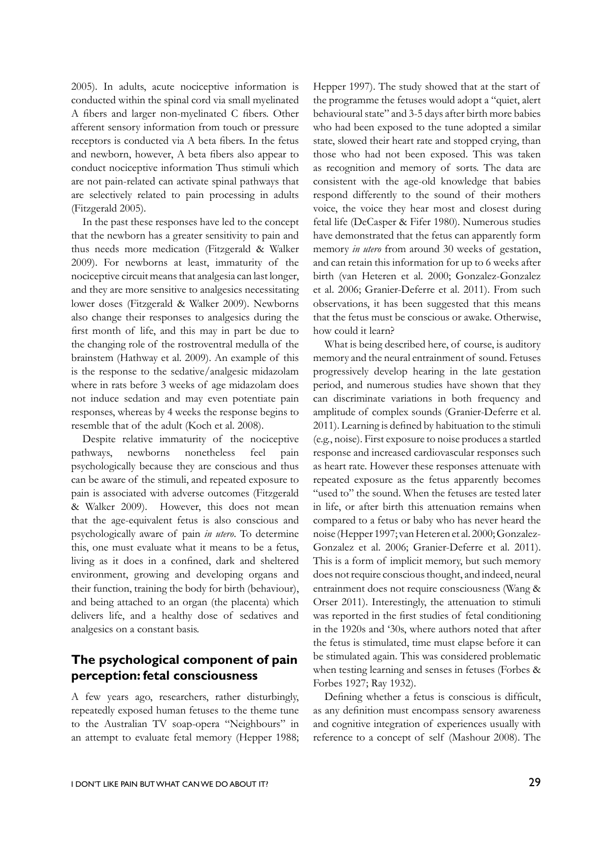2005). In adults, acute nociceptive information is conducted within the spinal cord via small myelinated A fibers and larger non-myelinated C fibers. Other afferent sensory information from touch or pressure receptors is conducted via A beta fibers. In the fetus and newborn, however, A beta fibers also appear to conduct nociceptive information Thus stimuli which are not pain-related can activate spinal pathways that are selectively related to pain processing in adults (Fitzgerald 2005).

In the past these responses have led to the concept that the newborn has a greater sensitivity to pain and thus needs more medication (Fitzgerald & Walker 2009). For newborns at least, immaturity of the nociceptive circuit means that analgesia can last longer, and they are more sensitive to analgesics necessitating lower doses (Fitzgerald & Walker 2009). Newborns also change their responses to analgesics during the first month of life, and this may in part be due to the changing role of the rostroventral medulla of the brainstem (Hathway et al. 2009). An example of this is the response to the sedative/analgesic midazolam where in rats before 3 weeks of age midazolam does not induce sedation and may even potentiate pain responses, whereas by 4 weeks the response begins to resemble that of the adult (Koch et al. 2008).

Despite relative immaturity of the nociceptive pathways, newborns nonetheless feel pain psychologically because they are conscious and thus can be aware of the stimuli, and repeated exposure to pain is associated with adverse outcomes (Fitzgerald & Walker 2009). However, this does not mean that the age-equivalent fetus is also conscious and psychologically aware of pain *in utero*. To determine this, one must evaluate what it means to be a fetus, living as it does in a confined, dark and sheltered environment, growing and developing organs and their function, training the body for birth (behaviour), and being attached to an organ (the placenta) which delivers life, and a healthy dose of sedatives and analgesics on a constant basis.

## **The psychological component of pain perception: fetal consciousness**

A few years ago, researchers, rather disturbingly, repeatedly exposed human fetuses to the theme tune to the Australian TV soap-opera "Neighbours" in an attempt to evaluate fetal memory (Hepper 1988; Hepper 1997). The study showed that at the start of the programme the fetuses would adopt a "quiet, alert behavioural state" and 3-5 days after birth more babies who had been exposed to the tune adopted a similar state, slowed their heart rate and stopped crying, than those who had not been exposed. This was taken as recognition and memory of sorts. The data are consistent with the age-old knowledge that babies respond differently to the sound of their mothers voice, the voice they hear most and closest during fetal life (DeCasper & Fifer 1980). Numerous studies have demonstrated that the fetus can apparently form memory *in utero* from around 30 weeks of gestation, and can retain this information for up to 6 weeks after birth (van Heteren et al. 2000; Gonzalez-Gonzalez et al. 2006; Granier-Deferre et al. 2011). From such observations, it has been suggested that this means that the fetus must be conscious or awake. Otherwise, how could it learn?

What is being described here, of course, is auditory memory and the neural entrainment of sound. Fetuses progressively develop hearing in the late gestation period, and numerous studies have shown that they can discriminate variations in both frequency and amplitude of complex sounds (Granier-Deferre et al. 2011). Learning is defined by habituation to the stimuli (e.g., noise). First exposure to noise produces a startled response and increased cardiovascular responses such as heart rate. However these responses attenuate with repeated exposure as the fetus apparently becomes "used to" the sound. When the fetuses are tested later in life, or after birth this attenuation remains when compared to a fetus or baby who has never heard the noise (Hepper 1997; van Heteren et al. 2000; Gonzalez-Gonzalez et al. 2006; Granier-Deferre et al. 2011). This is a form of implicit memory, but such memory does not require conscious thought, and indeed, neural entrainment does not require consciousness (Wang & Orser 2011). Interestingly, the attenuation to stimuli was reported in the first studies of fetal conditioning in the 1920s and '30s, where authors noted that after the fetus is stimulated, time must elapse before it can be stimulated again. This was considered problematic when testing learning and senses in fetuses (Forbes & Forbes 1927; Ray 1932).

Defining whether a fetus is conscious is difficult, as any definition must encompass sensory awareness and cognitive integration of experiences usually with reference to a concept of self (Mashour 2008). The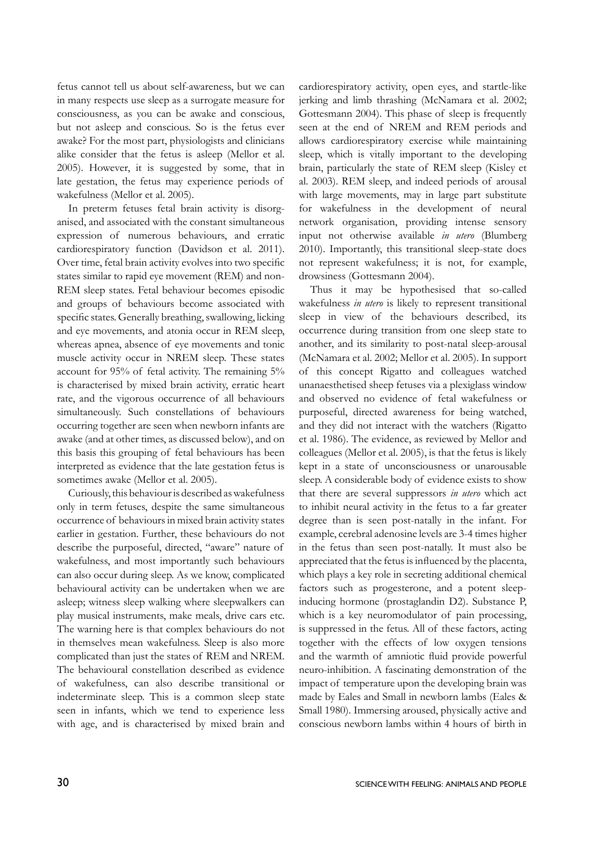fetus cannot tell us about self-awareness, but we can in many respects use sleep as a surrogate measure for consciousness, as you can be awake and conscious, but not asleep and conscious. So is the fetus ever awake? For the most part, physiologists and clinicians alike consider that the fetus is asleep (Mellor et al. 2005). However, it is suggested by some, that in late gestation, the fetus may experience periods of wakefulness (Mellor et al. 2005).

In preterm fetuses fetal brain activity is disorganised, and associated with the constant simultaneous expression of numerous behaviours, and erratic cardiorespiratory function (Davidson et al. 2011). Over time, fetal brain activity evolves into two specific states similar to rapid eye movement (REM) and non-REM sleep states. Fetal behaviour becomes episodic and groups of behaviours become associated with specific states. Generally breathing, swallowing, licking and eye movements, and atonia occur in REM sleep, whereas apnea, absence of eye movements and tonic muscle activity occur in NREM sleep. These states account for 95% of fetal activity. The remaining 5% is characterised by mixed brain activity, erratic heart rate, and the vigorous occurrence of all behaviours simultaneously. Such constellations of behaviours occurring together are seen when newborn infants are awake (and at other times, as discussed below), and on this basis this grouping of fetal behaviours has been interpreted as evidence that the late gestation fetus is sometimes awake (Mellor et al. 2005).

Curiously, this behaviour is described as wakefulness only in term fetuses, despite the same simultaneous occurrence of behaviours in mixed brain activity states earlier in gestation. Further, these behaviours do not describe the purposeful, directed, "aware" nature of wakefulness, and most importantly such behaviours can also occur during sleep. As we know, complicated behavioural activity can be undertaken when we are asleep; witness sleep walking where sleepwalkers can play musical instruments, make meals, drive cars etc. The warning here is that complex behaviours do not in themselves mean wakefulness. Sleep is also more complicated than just the states of REM and NREM. The behavioural constellation described as evidence of wakefulness, can also describe transitional or indeterminate sleep. This is a common sleep state seen in infants, which we tend to experience less with age, and is characterised by mixed brain and

cardiorespiratory activity, open eyes, and startle-like jerking and limb thrashing (McNamara et al. 2002; Gottesmann 2004). This phase of sleep is frequently seen at the end of NREM and REM periods and allows cardiorespiratory exercise while maintaining sleep, which is vitally important to the developing brain, particularly the state of REM sleep (Kisley et al. 2003). REM sleep, and indeed periods of arousal with large movements, may in large part substitute for wakefulness in the development of neural network organisation, providing intense sensory input not otherwise available *in utero* (Blumberg 2010). Importantly, this transitional sleep-state does not represent wakefulness; it is not, for example, drowsiness (Gottesmann 2004).

Thus it may be hypothesised that so-called wakefulness *in utero* is likely to represent transitional sleep in view of the behaviours described, its occurrence during transition from one sleep state to another, and its similarity to post-natal sleep-arousal (McNamara et al. 2002; Mellor et al. 2005). In support of this concept Rigatto and colleagues watched unanaesthetised sheep fetuses via a plexiglass window and observed no evidence of fetal wakefulness or purposeful, directed awareness for being watched, and they did not interact with the watchers (Rigatto et al. 1986). The evidence, as reviewed by Mellor and colleagues (Mellor et al. 2005), is that the fetus is likely kept in a state of unconsciousness or unarousable sleep. A considerable body of evidence exists to show that there are several suppressors *in utero* which act to inhibit neural activity in the fetus to a far greater degree than is seen post-natally in the infant. For example, cerebral adenosine levels are 3-4 times higher in the fetus than seen post-natally. It must also be appreciated that the fetus is influenced by the placenta, which plays a key role in secreting additional chemical factors such as progesterone, and a potent sleepinducing hormone (prostaglandin D2). Substance P, which is a key neuromodulator of pain processing, is suppressed in the fetus. All of these factors, acting together with the effects of low oxygen tensions and the warmth of amniotic fluid provide powerful neuro-inhibition. A fascinating demonstration of the impact of temperature upon the developing brain was made by Eales and Small in newborn lambs (Eales & Small 1980). Immersing aroused, physically active and conscious newborn lambs within 4 hours of birth in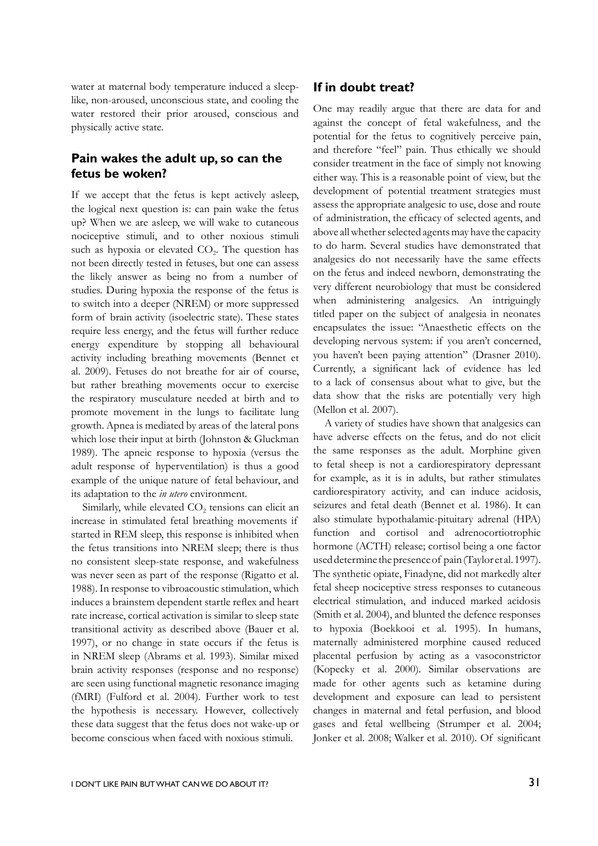water at maternal body temperature induced a sleeplike, non-aroused, unconscious state, and cooling the water restored their prior aroused, conscious and physically active state.

## **Pain wakes the adult up, so can the fetus be woken?**

If we accept that the fetus is kept actively asleep, the logical next question is: can pain wake the fetus up? When we are asleep, we will wake to cutaneous nociceptive stimuli, and to other noxious stimuli such as hypoxia or elevated  $CO<sub>2</sub>$ . The question has not been directly tested in fetuses, but one can assess the likely answer as being no from a number of studies. During hypoxia the response of the fetus is to switch into a deeper (NREM) or more suppressed form of brain activity (isoelectric state). These states require less energy, and the fetus will further reduce energy expenditure by stopping all behavioural activity including breathing movements (Bennet et al. 2009). Fetuses do not breathe for air of course, but rather breathing movements occur to exercise the respiratory musculature needed at birth and to promote movement in the lungs to facilitate lung growth. Apnea is mediated by areas of the lateral pons which lose their input at birth (Johnston & Gluckman 1989). The apneic response to hypoxia (versus the adult response of hyperventilation) is thus a good example of the unique nature of fetal behaviour, and its adaptation to the *in utero* environment.

Similarly, while elevated  $CO<sub>2</sub>$  tensions can elicit an increase in stimulated fetal breathing movements if started in REM sleep, this response is inhibited when the fetus transitions into NREM sleep; there is thus no consistent sleep-state response, and wakefulness was never seen as part of the response (Rigatto et al. 1988). In response to vibroacoustic stimulation, which induces a brainstem dependent startle reflex and heart rate increase, cortical activation is similar to sleep state transitional activity as described above (Bauer et al. 1997), or no change in state occurs if the fetus is in NREM sleep (Abrams et al. 1993). Similar mixed brain activity responses (response and no response) are seen using functional magnetic resonance imaging (fMRI) (Fulford et al. 2004). Further work to test the hypothesis is necessary. However, collectively these data suggest that the fetus does not wake-up or become conscious when faced with noxious stimuli.

## **If in doubt treat?**

One may readily argue that there are data for and against the concept of fetal wakefulness, and the potential for the fetus to cognitively perceive pain, and therefore "feel" pain. Thus ethically we should consider treatment in the face of simply not knowing either way. This is a reasonable point of view, but the development of potential treatment strategies must assess the appropriate analgesic to use, dose and route of administration, the efficacy of selected agents, and above all whether selected agents may have the capacity to do harm. Several studies have demonstrated that analgesics do not necessarily have the same effects on the fetus and indeed newborn, demonstrating the very different neurobiology that must be considered when administering analgesics. An intriguingly titled paper on the subject of analgesia in neonates encapsulates the issue: "Anaesthetic effects on the developing nervous system: if you aren't concerned, you haven't been paying attention" (Drasner 2010). Currently, a significant lack of evidence has led to a lack of consensus about what to give, but the data show that the risks are potentially very high (Mellon et al. 2007).

A variety of studies have shown that analgesics can have adverse effects on the fetus, and do not elicit the same responses as the adult. Morphine given to fetal sheep is not a cardiorespiratory depressant for example, as it is in adults, but rather stimulates cardiorespiratory activity, and can induce acidosis, seizures and fetal death (Bennet et al. 1986). It can also stimulate hypothalamic-pituitary adrenal (HPA) function and cortisol and adrenocortiotrophic hormone (ACTH) release; cortisol being a one factor used determine the presence of pain (Taylor et al. 1997). The synthetic opiate, Finadyne, did not markedly alter fetal sheep nociceptive stress responses to cutaneous electrical stimulation, and induced marked acidosis (Smith et al. 2004), and blunted the defence responses to hypoxia (Boekkooi et al. 1995). In humans, maternally administered morphine caused reduced placental perfusion by acting as a vasoconstrictor (Kopecky et al. 2000). Similar observations are made for other agents such as ketamine during development and exposure can lead to persistent changes in maternal and fetal perfusion, and blood gases and fetal wellbeing (Strumper et al. 2004; Jonker et al. 2008; Walker et al. 2010). Of significant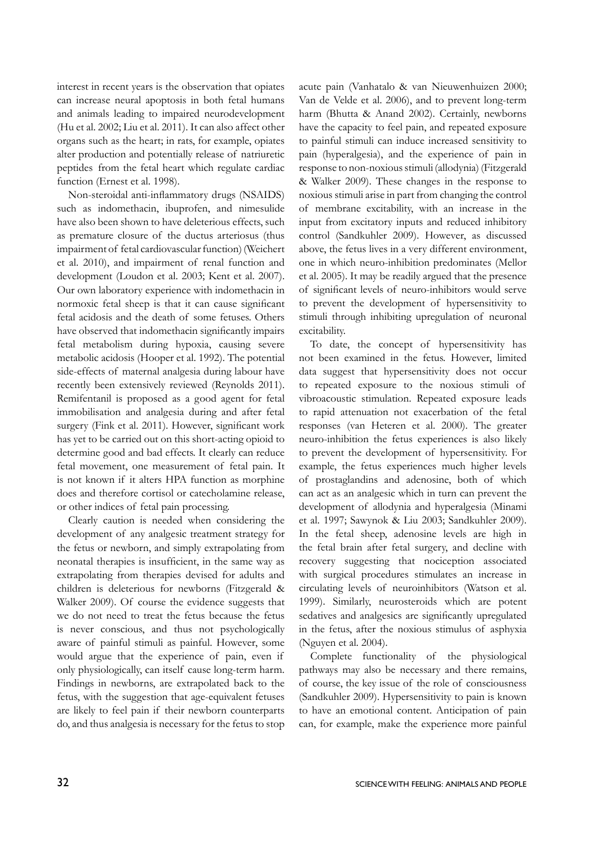interest in recent years is the observation that opiates can increase neural apoptosis in both fetal humans and animals leading to impaired neurodevelopment (Hu et al. 2002; Liu et al. 2011). It can also affect other organs such as the heart; in rats, for example, opiates alter production and potentially release of natriuretic peptides from the fetal heart which regulate cardiac function (Ernest et al. 1998).

Non-steroidal anti-inflammatory drugs (NSAIDS) such as indomethacin, ibuprofen, and nimesulide have also been shown to have deleterious effects, such as premature closure of the ductus arteriosus (thus impairment of fetal cardiovascular function) (Weichert et al. 2010), and impairment of renal function and development (Loudon et al. 2003; Kent et al. 2007). Our own laboratory experience with indomethacin in normoxic fetal sheep is that it can cause significant fetal acidosis and the death of some fetuses. Others have observed that indomethacin significantly impairs fetal metabolism during hypoxia, causing severe metabolic acidosis (Hooper et al. 1992). The potential side-effects of maternal analgesia during labour have recently been extensively reviewed (Reynolds 2011). Remifentanil is proposed as a good agent for fetal immobilisation and analgesia during and after fetal surgery (Fink et al. 2011). However, significant work has yet to be carried out on this short-acting opioid to determine good and bad effects. It clearly can reduce fetal movement, one measurement of fetal pain. It is not known if it alters HPA function as morphine does and therefore cortisol or catecholamine release, or other indices of fetal pain processing.

Clearly caution is needed when considering the development of any analgesic treatment strategy for the fetus or newborn, and simply extrapolating from neonatal therapies is insufficient, in the same way as extrapolating from therapies devised for adults and children is deleterious for newborns (Fitzgerald & Walker 2009). Of course the evidence suggests that we do not need to treat the fetus because the fetus is never conscious, and thus not psychologically aware of painful stimuli as painful. However, some would argue that the experience of pain, even if only physiologically, can itself cause long-term harm. Findings in newborns, are extrapolated back to the fetus, with the suggestion that age-equivalent fetuses are likely to feel pain if their newborn counterparts do, and thus analgesia is necessary for the fetus to stop

acute pain (Vanhatalo & van Nieuwenhuizen 2000; Van de Velde et al. 2006), and to prevent long-term harm (Bhutta & Anand 2002). Certainly, newborns have the capacity to feel pain, and repeated exposure to painful stimuli can induce increased sensitivity to pain (hyperalgesia), and the experience of pain in response to non-noxious stimuli (allodynia) (Fitzgerald & Walker 2009). These changes in the response to noxious stimuli arise in part from changing the control of membrane excitability, with an increase in the input from excitatory inputs and reduced inhibitory control (Sandkuhler 2009). However, as discussed above, the fetus lives in a very different environment, one in which neuro-inhibition predominates (Mellor et al. 2005). It may be readily argued that the presence of significant levels of neuro-inhibitors would serve to prevent the development of hypersensitivity to stimuli through inhibiting upregulation of neuronal excitability.

To date, the concept of hypersensitivity has not been examined in the fetus. However, limited data suggest that hypersensitivity does not occur to repeated exposure to the noxious stimuli of vibroacoustic stimulation. Repeated exposure leads to rapid attenuation not exacerbation of the fetal responses (van Heteren et al. 2000). The greater neuro-inhibition the fetus experiences is also likely to prevent the development of hypersensitivity. For example, the fetus experiences much higher levels of prostaglandins and adenosine, both of which can act as an analgesic which in turn can prevent the development of allodynia and hyperalgesia (Minami et al. 1997; Sawynok & Liu 2003; Sandkuhler 2009). In the fetal sheep, adenosine levels are high in the fetal brain after fetal surgery, and decline with recovery suggesting that nociception associated with surgical procedures stimulates an increase in circulating levels of neuroinhibitors (Watson et al. 1999). Similarly, neurosteroids which are potent sedatives and analgesics are significantly upregulated in the fetus, after the noxious stimulus of asphyxia (Nguyen et al. 2004).

Complete functionality of the physiological pathways may also be necessary and there remains, of course, the key issue of the role of consciousness (Sandkuhler 2009). Hypersensitivity to pain is known to have an emotional content. Anticipation of pain can, for example, make the experience more painful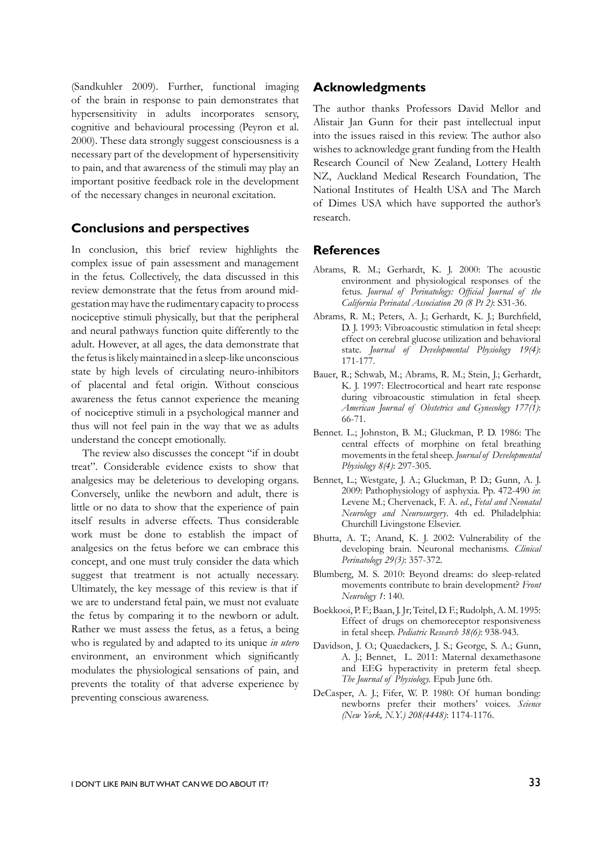(Sandkuhler 2009). Further, functional imaging of the brain in response to pain demonstrates that hypersensitivity in adults incorporates sensory, cognitive and behavioural processing (Peyron et al. 2000). These data strongly suggest consciousness is a necessary part of the development of hypersensitivity to pain, and that awareness of the stimuli may play an important positive feedback role in the development of the necessary changes in neuronal excitation.

### **Conclusions and perspectives**

In conclusion, this brief review highlights the complex issue of pain assessment and management in the fetus. Collectively, the data discussed in this review demonstrate that the fetus from around midgestation may have the rudimentary capacity to process nociceptive stimuli physically, but that the peripheral and neural pathways function quite differently to the adult. However, at all ages, the data demonstrate that the fetus is likely maintained in a sleep-like unconscious state by high levels of circulating neuro-inhibitors of placental and fetal origin. Without conscious awareness the fetus cannot experience the meaning of nociceptive stimuli in a psychological manner and thus will not feel pain in the way that we as adults understand the concept emotionally.

The review also discusses the concept "if in doubt treat". Considerable evidence exists to show that analgesics may be deleterious to developing organs. Conversely, unlike the newborn and adult, there is little or no data to show that the experience of pain itself results in adverse effects. Thus considerable work must be done to establish the impact of analgesics on the fetus before we can embrace this concept, and one must truly consider the data which suggest that treatment is not actually necessary. Ultimately, the key message of this review is that if we are to understand fetal pain, we must not evaluate the fetus by comparing it to the newborn or adult. Rather we must assess the fetus, as a fetus, a being who is regulated by and adapted to its unique *in utero* environment, an environment which significantly modulates the physiological sensations of pain, and prevents the totality of that adverse experience by preventing conscious awareness.

### **Acknowledgments**

The author thanks Professors David Mellor and Alistair Jan Gunn for their past intellectual input into the issues raised in this review. The author also wishes to acknowledge grant funding from the Health Research Council of New Zealand, Lottery Health NZ, Auckland Medical Research Foundation, The National Institutes of Health USA and The March of Dimes USA which have supported the author's research.

#### **References**

- Abrams, R. M.; Gerhardt, K. J. 2000: The acoustic environment and physiological responses of the fetus. *Journal of Perinatology: Official Journal of the California Perinatal Association 20 (8 Pt 2)*: S31-36.
- Abrams, R. M.; Peters, A. J.; Gerhardt, K. J.; Burchfield, D. J. 1993: Vibroacoustic stimulation in fetal sheep: effect on cerebral glucose utilization and behavioral state. *Journal of Developmental Physiology 19(4)*: 171-177.
- Bauer, R.; Schwab, M.; Abrams, R. M.; Stein, J.; Gerhardt, K. J. 1997: Electrocortical and heart rate response during vibroacoustic stimulation in fetal sheep. *American Journal of Obstetrics and Gynecology 177(1)*: 66-71.
- Bennet. L.; Johnston, B. M.; Gluckman, P. D. 1986: The central effects of morphine on fetal breathing movements in the fetal sheep. *Journal of Developmental Physiology 8(4)*: 297-305.
- Bennet, L.; Westgate, J. A.; Gluckman, P. D.; Gunn, A. J. 2009: Pathophysiology of asphyxia. Pp. 472-490 *in*: Levene M.; Chervenack, F. A. *ed*., *Fetal and Neonatal Neurology and Neurosurgery*. 4th ed. Philadelphia: Churchill Livingstone Elsevier.
- Bhutta, A. T.; Anand, K. J. 2002: Vulnerability of the developing brain. Neuronal mechanisms. *Clinical Perinatology 29(3)*: 357-372.
- Blumberg, M. S. 2010: Beyond dreams: do sleep-related movements contribute to brain development? *Front Neurology 1*: 140.
- Boekkooi, P. F.; Baan, J. Jr; Teitel, D. F.; Rudolph, A. M. 1995: Effect of drugs on chemoreceptor responsiveness in fetal sheep. *Pediatric Research 38(6)*: 938-943.
- Davidson, J. O.; Quaedackers, J. S.; George, S. A.; Gunn, A. J.; Bennet, L. 2011: Maternal dexamethasone and EEG hyperactivity in preterm fetal sheep. *The Journal of Physiology.* Epub June 6th.
- DeCasper, A. J.; Fifer, W. P. 1980: Of human bonding: newborns prefer their mothers' voices. *Science (New York, N.Y.) 208(4448)*: 1174-1176.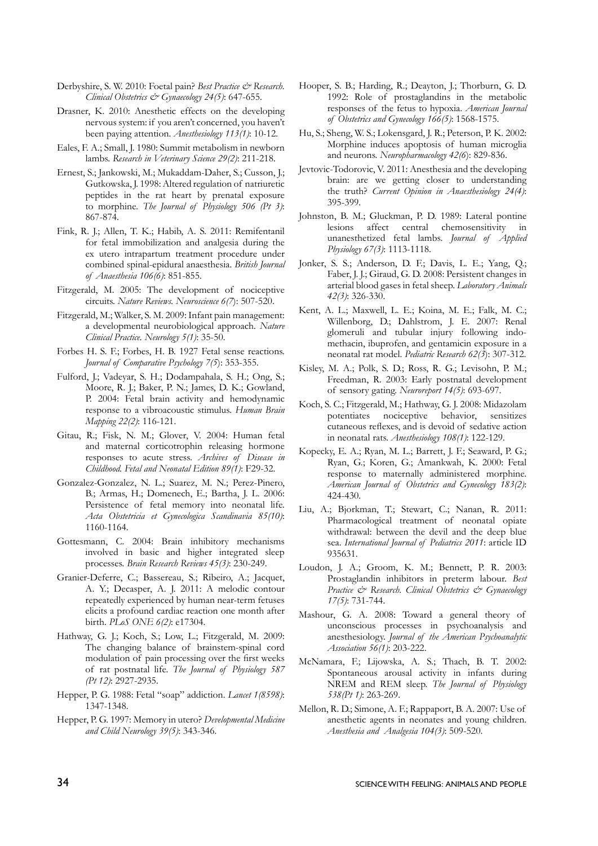- Derbyshire, S. W. 2010: Foetal pain? *Best Practice & Research*. *Clinical Obstetrics & Gynaecology 24(5)*: 647-655.
- Drasner, K. 2010: Anesthetic effects on the developing nervous system: if you aren't concerned, you haven't been paying attention. *Anesthesiology 113(1)*: 10-12.
- Eales, F. A.; Small, J. 1980: Summit metabolism in newborn lambs. *Research in Veterinary Science 29(2)*: 211-218.
- Ernest, S.; Jankowski, M.; Mukaddam-Daher, S.; Cusson, J.; Gutkowska, J. 1998: Altered regulation of natriuretic peptides in the rat heart by prenatal exposure to morphine. *The Journal of Physiology 506 (Pt 3)*: 867-874.
- Fink, R. J.; Allen, T. K.; Habib, A. S. 2011: Remifentanil for fetal immobilization and analgesia during the ex utero intrapartum treatment procedure under combined spinal-epidural anaesthesia. *British Journal of Anaesthesia 106(6)*: 851-855.
- Fitzgerald, M. 2005: The development of nociceptive circuits. *Nature Reviews. Neuroscience 6(7*): 507-520.
- Fitzgerald, M.; Walker, S. M. 2009: Infant pain management: a developmental neurobiological approach. *Nature Clinical Practice. Neurology 5(1)*: 35-50.
- Forbes H. S. F.; Forbes, H. B. 1927 Fetal sense reactions. *Journal of Comparative Psychology 7(5*): 353-355.
- Fulford, J.; Vadeyar, S. H.; Dodampahala, S. H.; Ong, S.; Moore, R. J.; Baker, P. N.; James, D. K.; Gowland, P. 2004: Fetal brain activity and hemodynamic response to a vibroacoustic stimulus. *Human Brain Mapping 22(2)*: 116-121.
- Gitau, R.; Fisk, N. M.; Glover, V. 2004: Human fetal and maternal corticotrophin releasing hormone responses to acute stress. *Archives of Disease in Childhood. Fetal and Neonatal Edition 89(1)*: F29-32.
- Gonzalez-Gonzalez, N. L.; Suarez, M. N.; Perez-Pinero, B.; Armas, H.; Domenech, E.; Bartha, J. L. 2006: Persistence of fetal memory into neonatal life. *Acta Obstetricia et Gynecologica Scandinavia 85(10)*: 1160-1164.
- Gottesmann, C. 2004: Brain inhibitory mechanisms involved in basic and higher integrated sleep processes. *Brain Research Reviews 45(3)*: 230-249.
- Granier-Deferre, C.; Bassereau, S.; Ribeiro, A.; Jacquet, A. Y.; Decasper, A. J. 2011: A melodic contour repeatedly experienced by human near-term fetuses elicits a profound cardiac reaction one month after birth. *PLoS ONE 6(2)*: e17304.
- Hathway, G. J.; Koch, S.; Low, L.; Fitzgerald, M. 2009: The changing balance of brainstem-spinal cord modulation of pain processing over the first weeks of rat postnatal life. *The Journal of Physiology 587 (Pt 12)*: 2927-2935.
- Hepper, P. G. 1988: Fetal "soap" addiction. *Lancet 1(8598)*: 1347-1348.
- Hepper, P. G. 1997: Memory in utero? *Developmental Medicine and Child Neurology 39(5)*: 343-346.
- Hooper, S. B.; Harding, R.; Deayton, J.; Thorburn, G. D. 1992: Role of prostaglandins in the metabolic responses of the fetus to hypoxia. *American Journal of Obstetrics and Gynecology 166(5)*: 1568-1575.
- Hu, S.; Sheng, W. S.; Lokensgard, J. R.; Peterson, P. K. 2002: Morphine induces apoptosis of human microglia and neurons. *Neuropharmacology 42(6*): 829-836.
- Jevtovic-Todorovic, V. 2011: Anesthesia and the developing brain: are we getting closer to understanding the truth? *Current Opinion in Anaesthesiology 24(4)*: 395-399.
- Johnston, B. M.; Gluckman, P. D. 1989: Lateral pontine lesions affect central chemosensitivity in unanesthetized fetal lambs. *Journal of Applied Physiology 67(3)*: 1113-1118.
- Jonker, S. S.; Anderson, D. F.; Davis, L. E.; Yang, Q.; Faber, J. J.; Giraud, G. D. 2008: Persistent changes in arterial blood gases in fetal sheep. *Laboratory Animals 42(3)*: 326-330.
- Kent, A. L.; Maxwell, L. E.; Koina, M. E.; Falk, M. C.; Willenborg, D.; Dahlstrom, J. E. 2007: Renal glomeruli and tubular injury following indomethacin, ibuprofen, and gentamicin exposure in a neonatal rat model. *Pediatric Research 62(3*): 307-312.
- Kisley, M. A.; Polk, S. D.; Ross, R. G.; Levisohn, P. M.; Freedman, R. 2003: Early postnatal development of sensory gating. *Neuroreport 14(5)*: 693-697.
- Koch, S. C.; Fitzgerald, M.; Hathway, G. J. 2008: Midazolam potentiates nociceptive behavior, sensitizes cutaneous reflexes, and is devoid of sedative action in neonatal rats. *Anesthesiology 108(1)*: 122-129.
- Kopecky, E. A.; Ryan, M. L.; Barrett, J. F.; Seaward, P. G.; Ryan, G.; Koren, G.; Amankwah, K. 2000: Fetal response to maternally administered morphine. *American Journal of Obstetrics and Gynecology 183(2)*: 424-430.
- Liu, A.; Bjorkman, T.; Stewart, C.; Nanan, R. 2011: Pharmacological treatment of neonatal opiate withdrawal: between the devil and the deep blue sea. *International Journal of Pediatrics 2011*: article ID 935631.
- Loudon, J. A.; Groom, K. M.; Bennett, P. R. 2003: Prostaglandin inhibitors in preterm labour. *Best Practice & Research. Clinical Obstetrics & Gynaecology 17(5)*: 731-744.
- Mashour, G. A. 2008: Toward a general theory of unconscious processes in psychoanalysis and anesthesiology. *Journal of the American Psychoanalytic Association 56(1)*: 203-222.
- McNamara, F.; Lijowska, A. S.; Thach, B. T. 2002: Spontaneous arousal activity in infants during NREM and REM sleep. *The Journal of Physiology 538(Pt 1)*: 263-269.
- Mellon, R. D.; Simone, A. F.; Rappaport, B. A. 2007: Use of anesthetic agents in neonates and young children. *Anesthesia and Analgesia 104(3)*: 509-520.